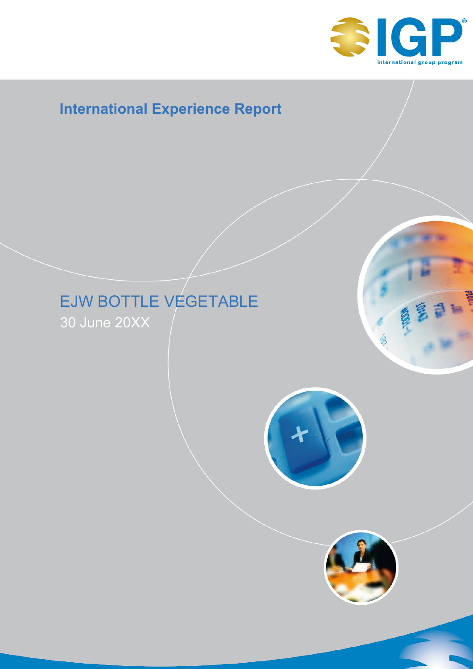

# **International Experience Report**

# EJW BOTTLE VEGETABLE

30 June 20XX



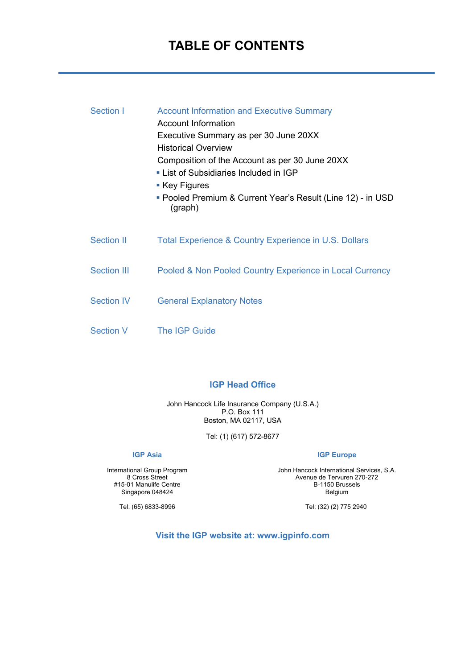## **TABLE OF CONTENTS**

| Section I          | <b>Account Information and Executive Summary</b><br>Account Information<br>Executive Summary as per 30 June 20XX<br><b>Historical Overview</b><br>Composition of the Account as per 30 June 20XX<br>• List of Subsidiaries Included in IGP<br>■ Key Figures<br>■ Pooled Premium & Current Year's Result (Line 12) - in USD<br>(graph) |
|--------------------|---------------------------------------------------------------------------------------------------------------------------------------------------------------------------------------------------------------------------------------------------------------------------------------------------------------------------------------|
| <b>Section II</b>  | Total Experience & Country Experience in U.S. Dollars                                                                                                                                                                                                                                                                                 |
| <b>Section III</b> | Pooled & Non Pooled Country Experience in Local Currency                                                                                                                                                                                                                                                                              |
| <b>Section IV</b>  | <b>General Explanatory Notes</b>                                                                                                                                                                                                                                                                                                      |
| Section V          | <b>The IGP Guide</b>                                                                                                                                                                                                                                                                                                                  |

#### **IGP Head Office**

John Hancock Life Insurance Company (U.S.A.) P.O. Box 111 Boston, MA 02117, USA

Tel: (1) (617) 572-8677

#### **IGP Asia**

International Group Program 8 Cross Street #15-01 Manulife Centre Singapore 048424

**IGP Europe**

John Hancock International Services, S.A. Avenue de Tervuren 270-272 B-1150 Brussels Belgium

Tel: (32) (2) 775 2940

Tel: (65) 6833-8996

**Visit the IGP website at: www.igpinfo.com**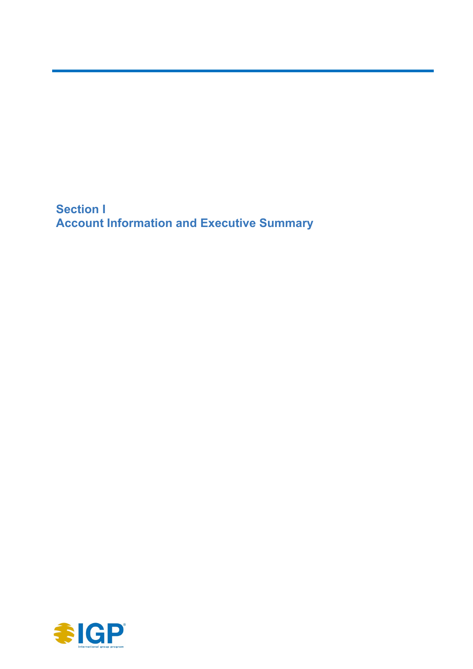**Section I Account Information and Executive Summary** 

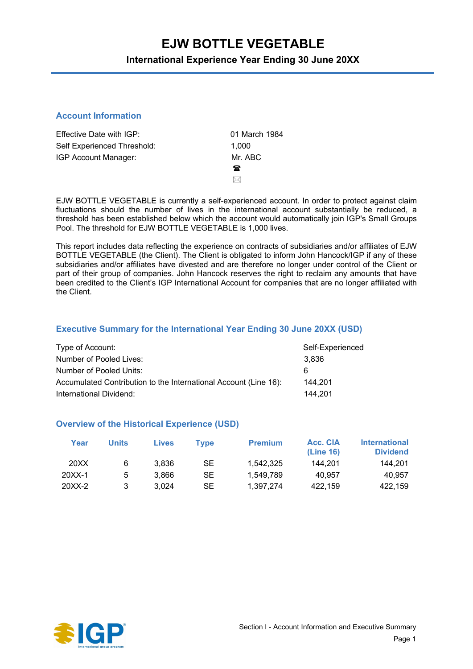### **International Experience Year Ending 30 June 20XX**

#### **Account Information**

| Effective Date with IGP:    | 01 March 1984 |
|-----------------------------|---------------|
| Self Experienced Threshold: | 1.000         |
| IGP Account Manager:        | Mr. ABC       |
|                             | 鴌             |
|                             | ⋈             |

EJW BOTTLE VEGETABLE is currently a self-experienced account. In order to protect against claim fluctuations should the number of lives in the international account substantially be reduced, a threshold has been established below which the account would automatically join IGP's Small Groups Pool. The threshold for EJW BOTTLE VEGETABLE is 1,000 lives.

This report includes data reflecting the experience on contracts of subsidiaries and/or affiliates of EJW BOTTLE VEGETABLE (the Client). The Client is obligated to inform John Hancock/IGP if any of these subsidiaries and/or affiliates have divested and are therefore no longer under control of the Client or part of their group of companies. John Hancock reserves the right to reclaim any amounts that have been credited to the Client's IGP International Account for companies that are no longer affiliated with the Client.

#### **Executive Summary for the International Year Ending 30 June 20XX (USD)**

| Type of Account:                                                 | Self-Experienced |
|------------------------------------------------------------------|------------------|
| Number of Pooled Lives:                                          | 3.836            |
| Number of Pooled Units:                                          | 6                |
| Accumulated Contribution to the International Account (Line 16): | 144.201          |
| International Dividend:                                          | 144.201          |

#### **Overview of the Historical Experience (USD)**

| Year   | <b>Units</b> | <b>Lives</b> | Tvpe | <b>Premium</b> | Acc. CIA<br>(Line 16) | <b>International</b><br><b>Dividend</b> |
|--------|--------------|--------------|------|----------------|-----------------------|-----------------------------------------|
| 20XX   | 6            | 3.836        | SE   | 1.542.325      | 144.201               | 144.201                                 |
| 20XX-1 | 5            | 3.866        | SE   | 1.549.789      | 40.957                | 40.957                                  |
| 20XX-2 | 3            | 3.024        | SE   | 1.397.274      | 422.159               | 422.159                                 |

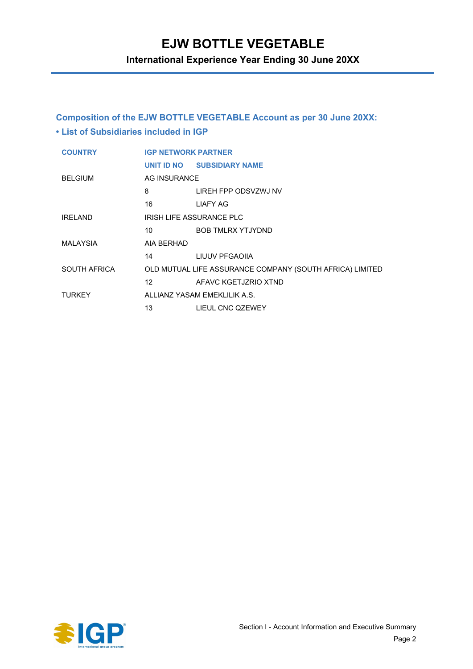**International Experience Year Ending 30 June 20XX**

### **Composition of the EJW BOTTLE VEGETABLE Account as per 30 June 20XX: • List of Subsidiaries included in IGP**

| <b>COUNTRY</b>  | <b>IGP NETWORK PARTNER</b>                                                                                                                                                                                                   |                                                          |  |
|-----------------|------------------------------------------------------------------------------------------------------------------------------------------------------------------------------------------------------------------------------|----------------------------------------------------------|--|
|                 |                                                                                                                                                                                                                              | UNIT ID NO SUBSIDIARY NAME                               |  |
| <b>BELGIUM</b>  | AG INSURANCE                                                                                                                                                                                                                 |                                                          |  |
|                 | 8                                                                                                                                                                                                                            | LIREH FPP ODSVZWJ NV                                     |  |
|                 | 16                                                                                                                                                                                                                           | LIAFY AG                                                 |  |
| <b>IRFI AND</b> |                                                                                                                                                                                                                              | <b>IRISH LIFE ASSURANCE PLC</b>                          |  |
|                 |                                                                                                                                                                                                                              | 10 BOB TMLRX YTJYDND                                     |  |
| MALAYSIA        | AIA BERHAD                                                                                                                                                                                                                   |                                                          |  |
|                 |                                                                                                                                                                                                                              | 14 LIUUV PFGAOIIA                                        |  |
| SOUTH AFRICA    |                                                                                                                                                                                                                              | OLD MUTUAL LIFE ASSURANCE COMPANY (SOUTH AFRICA) LIMITED |  |
|                 | $12$ and $12$ and $12$ and $12$ and $12$ and $12$ and $12$ and $12$ and $12$ and $12$ and $12$ and $12$ and $12$ and $12$ and $12$ and $12$ and $12$ and $12$ and $12$ and $12$ and $12$ and $12$ and $12$ and $12$ and $12$ | AFAVC KGETJZRIO XTND                                     |  |
| <b>TURKEY</b>   |                                                                                                                                                                                                                              | ALLIANZ YASAM EMEKLILIK A.S.                             |  |
|                 | 13                                                                                                                                                                                                                           | LIEUL CNC QZEWEY                                         |  |

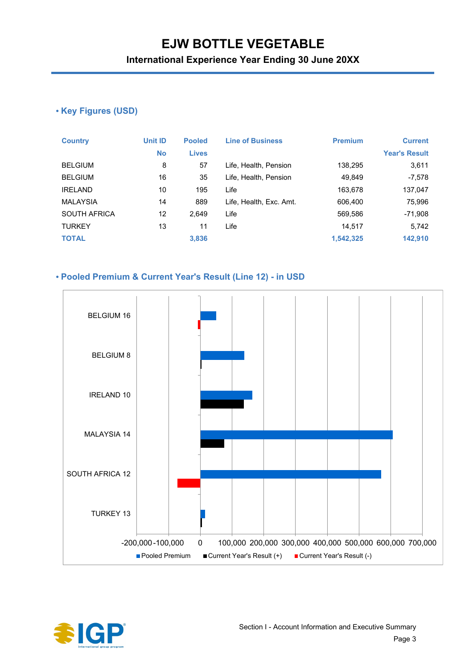**International Experience Year Ending 30 June 20XX**

### **• Key Figures (USD)**

| <b>Country</b>      | Unit ID   | <b>Pooled</b> | <b>Line of Business</b> | <b>Premium</b> | <b>Current</b>       |
|---------------------|-----------|---------------|-------------------------|----------------|----------------------|
|                     | <b>No</b> | <b>Lives</b>  |                         |                | <b>Year's Result</b> |
| <b>BELGIUM</b>      | 8         | 57            | Life, Health, Pension   | 138,295        | 3,611                |
| <b>BELGIUM</b>      | 16        | 35            | Life, Health, Pension   | 49,849         | $-7,578$             |
| <b>IRELAND</b>      | 10        | 195           | Life                    | 163,678        | 137,047              |
| <b>MALAYSIA</b>     | 14        | 889           | Life, Health, Exc. Amt. | 606,400        | 75,996               |
| <b>SOUTH AFRICA</b> | 12        | 2,649         | Life                    | 569,586        | $-71,908$            |
| <b>TURKEY</b>       | 13        | 11            | Life                    | 14,517         | 5,742                |
| <b>TOTAL</b>        |           | 3,836         |                         | 1,542,325      | 142,910              |

#### **• Pooled Premium & Current Year's Result (Line 12) - in USD**



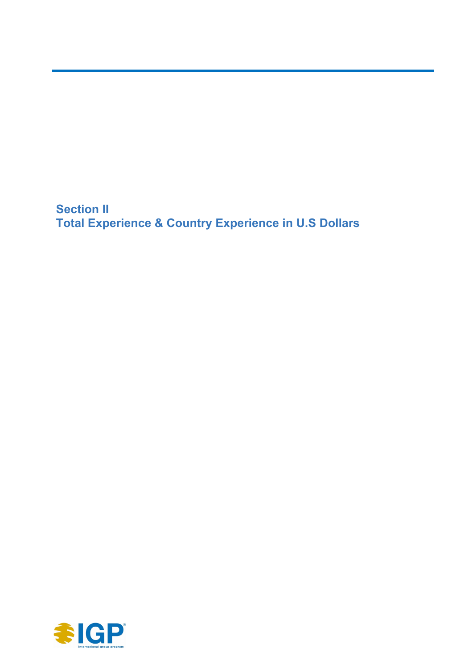**Section II Total Experience & Country Experience in U.S Dollars**

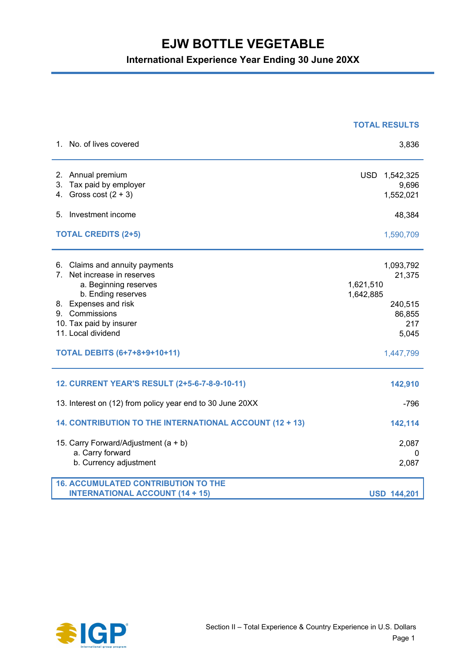|                                                                                                                                                                                                                                                            | <b>TOTAL RESULTS</b>                                                                            |
|------------------------------------------------------------------------------------------------------------------------------------------------------------------------------------------------------------------------------------------------------------|-------------------------------------------------------------------------------------------------|
| 1. No. of lives covered                                                                                                                                                                                                                                    | 3,836                                                                                           |
| 2. Annual premium<br>Tax paid by employer<br>3.<br>Gross cost $(2 + 3)$<br>4.                                                                                                                                                                              | <b>USD</b><br>1,542,325<br>9,696<br>1,552,021                                                   |
| 5. Investment income                                                                                                                                                                                                                                       | 48,384                                                                                          |
| <b>TOTAL CREDITS (2+5)</b>                                                                                                                                                                                                                                 | 1,590,709                                                                                       |
| 6. Claims and annuity payments<br>Net increase in reserves<br>$7^{\circ}$<br>a. Beginning reserves<br>b. Ending reserves<br>8. Expenses and risk<br>9. Commissions<br>10. Tax paid by insurer<br>11. Local dividend<br><b>TOTAL DEBITS (6+7+8+9+10+11)</b> | 1,093,792<br>21,375<br>1,621,510<br>1,642,885<br>240,515<br>86,855<br>217<br>5,045<br>1,447,799 |
| 12. CURRENT YEAR'S RESULT (2+5-6-7-8-9-10-11)                                                                                                                                                                                                              | 142,910                                                                                         |
| 13. Interest on (12) from policy year end to 30 June 20XX                                                                                                                                                                                                  | $-796$                                                                                          |
| 14. CONTRIBUTION TO THE INTERNATIONAL ACCOUNT (12 + 13)                                                                                                                                                                                                    | 142,114                                                                                         |
| 15. Carry Forward/Adjustment (a + b)<br>a. Carry forward<br>b. Currency adjustment                                                                                                                                                                         | 2,087<br>0<br>2,087                                                                             |
| <b>16. ACCUMULATED CONTRIBUTION TO THE</b><br><b>INTERNATIONAL ACCOUNT (14 + 15)</b>                                                                                                                                                                       | <b>USD 144,201</b>                                                                              |

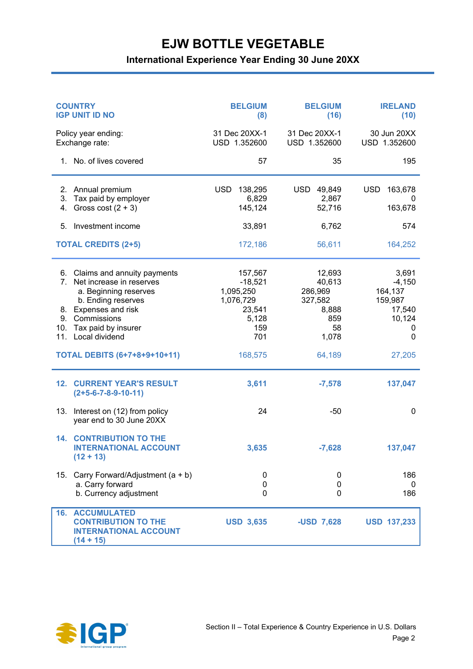| <b>COUNTRY</b><br><b>IGP UNIT ID NO</b> |                                                                                                                                   | <b>BELGIUM</b><br>(8)                                    | <b>BELGIUM</b><br>(16)                          | <b>IRELAND</b><br>(10)                            |
|-----------------------------------------|-----------------------------------------------------------------------------------------------------------------------------------|----------------------------------------------------------|-------------------------------------------------|---------------------------------------------------|
|                                         | Policy year ending:<br>Exchange rate:                                                                                             | 31 Dec 20XX-1<br>USD 1.352600                            | 31 Dec 20XX-1<br>USD 1.352600                   | 30 Jun 20XX<br>USD 1.352600                       |
|                                         | 1. No. of lives covered                                                                                                           | 57                                                       | 35                                              | 195                                               |
| 2.<br>3.<br>4.                          | Annual premium<br>Tax paid by employer<br>Gross cost $(2 + 3)$                                                                    | <b>USD</b><br>138,295<br>6,829<br>145,124                | USD 49,849<br>2,867<br>52,716                   | <b>USD</b><br>163,678<br>0<br>163,678             |
| 5.                                      | Investment income                                                                                                                 | 33,891                                                   | 6,762                                           | 574                                               |
|                                         | <b>TOTAL CREDITS (2+5)</b>                                                                                                        | 172,186                                                  | 56,611                                          | 164,252                                           |
| $7_{\scriptscriptstyle{\sim}}$          | 6. Claims and annuity payments<br>Net increase in reserves<br>a. Beginning reserves<br>b. Ending reserves<br>8. Expenses and risk | 157,567<br>$-18,521$<br>1,095,250<br>1,076,729<br>23,541 | 12,693<br>40,613<br>286,969<br>327,582<br>8,888 | 3,691<br>$-4,150$<br>164,137<br>159,987<br>17,540 |
| 9.                                      | Commissions                                                                                                                       | 5,128                                                    | 859                                             | 10,124                                            |
| 10.                                     | Tax paid by insurer<br>11. Local dividend                                                                                         | 159<br>701                                               | 58<br>1,078                                     | 0<br>0                                            |
|                                         | <b>TOTAL DEBITS (6+7+8+9+10+11)</b>                                                                                               | 168,575                                                  | 64,189                                          | 27,205                                            |
| 12.                                     | <b>CURRENT YEAR'S RESULT</b><br>$(2+5-6-7-8-9-10-11)$                                                                             | 3,611                                                    | $-7,578$                                        | 137,047                                           |
| 13.                                     | Interest on (12) from policy<br>year end to 30 June 20XX                                                                          | 24                                                       | $-50$                                           | 0                                                 |
|                                         | <b>14. CONTRIBUTION TO THE</b><br><b>INTERNATIONAL ACCOUNT</b><br>$(12 + 13)$                                                     | 3,635                                                    | $-7,628$                                        | 137,047                                           |
| 15.                                     | Carry Forward/Adjustment (a + b)<br>a. Carry forward<br>b. Currency adjustment                                                    | 0<br>0<br>0                                              | 0<br>$\pmb{0}$<br>0                             | 186<br>0<br>186                                   |
| 16.                                     | <b>ACCUMULATED</b><br><b>CONTRIBUTION TO THE</b><br><b>INTERNATIONAL ACCOUNT</b><br>$(14 + 15)$                                   | <b>USD 3,635</b>                                         | -USD 7,628                                      | <b>USD 137,233</b>                                |

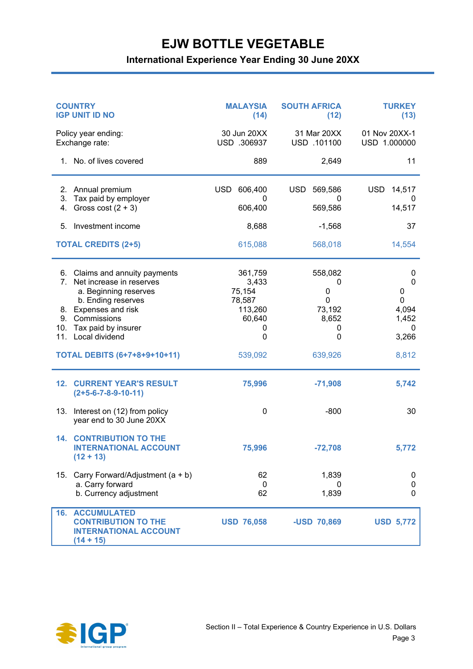| <b>COUNTRY</b><br><b>IGP UNIT ID NO</b> |                                                                                                                                                                                     | <b>MALAYSIA</b><br>(14)                                             | <b>SOUTH AFRICA</b><br>(12)                         | <b>TURKEY</b><br>(13)                                       |
|-----------------------------------------|-------------------------------------------------------------------------------------------------------------------------------------------------------------------------------------|---------------------------------------------------------------------|-----------------------------------------------------|-------------------------------------------------------------|
|                                         | Policy year ending:<br>Exchange rate:                                                                                                                                               | 30 Jun 20XX<br>USD .306937                                          | 31 Mar 20XX<br>USD .101100                          | 01 Nov 20XX-1<br>USD 1.000000                               |
|                                         | 1. No. of lives covered                                                                                                                                                             | 889                                                                 | 2,649                                               | 11                                                          |
| 2.<br>3.<br>4.                          | Annual premium<br>Tax paid by employer<br>Gross cost $(2 + 3)$                                                                                                                      | <b>USD</b><br>606,400<br>0<br>606,400                               | USD.<br>569,586<br>$^{(1)}$<br>569,586              | <b>USD</b><br>14,517<br>0<br>14,517                         |
| 5.                                      | Investment income                                                                                                                                                                   | 8,688                                                               | $-1,568$                                            | 37                                                          |
|                                         | <b>TOTAL CREDITS (2+5)</b>                                                                                                                                                          | 615,088                                                             | 568,018                                             | 14,554                                                      |
| 6.<br>7.<br>8.<br>9.<br>10.<br>11.      | Claims and annuity payments<br>Net increase in reserves<br>a. Beginning reserves<br>b. Ending reserves<br>Expenses and risk<br>Commissions<br>Tax paid by insurer<br>Local dividend | 361,759<br>3,433<br>75,154<br>78,587<br>113,260<br>60,640<br>0<br>0 | 558,082<br>0<br>0<br>0<br>73,192<br>8,652<br>0<br>0 | 0<br>$\mathbf{0}$<br>0<br>0<br>4,094<br>1,452<br>0<br>3,266 |
|                                         | <b>TOTAL DEBITS (6+7+8+9+10+11)</b>                                                                                                                                                 | 539,092                                                             | 639,926                                             | 8,812                                                       |
| 12.                                     | <b>CURRENT YEAR'S RESULT</b><br>$(2+5-6-7-8-9-10-11)$                                                                                                                               | 75,996                                                              | $-71,908$                                           | 5,742                                                       |
| 13.                                     | Interest on (12) from policy<br>year end to 30 June 20XX                                                                                                                            | 0                                                                   | $-800$                                              | 30                                                          |
| 14.                                     | <b>CONTRIBUTION TO THE</b><br><b>INTERNATIONAL ACCOUNT</b><br>$(12 + 13)$                                                                                                           | 75,996                                                              | $-72,708$                                           | 5,772                                                       |
| 15.                                     | Carry Forward/Adjustment (a + b)<br>a. Carry forward<br>b. Currency adjustment                                                                                                      | 62<br>0<br>62                                                       | 1,839<br>0<br>1,839                                 | 0<br>0<br>0                                                 |
|                                         | <b>16. ACCUMULATED</b><br><b>CONTRIBUTION TO THE</b><br><b>INTERNATIONAL ACCOUNT</b><br>$(14 + 15)$                                                                                 | <b>USD 76,058</b>                                                   | -USD 70,869                                         | <b>USD 5,772</b>                                            |

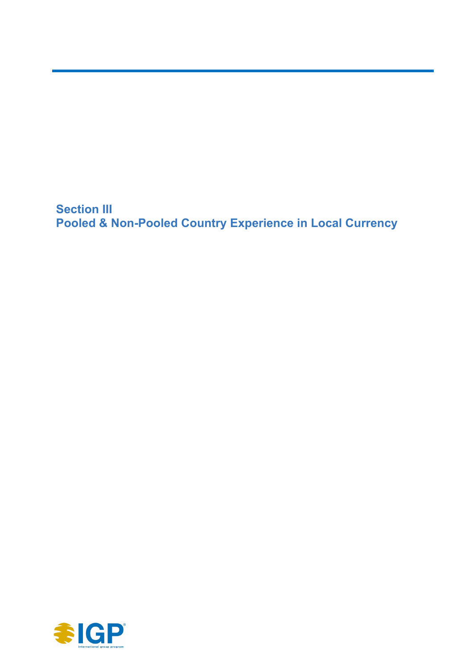**Section III Pooled & Non-Pooled Country Experience in Local Currency**

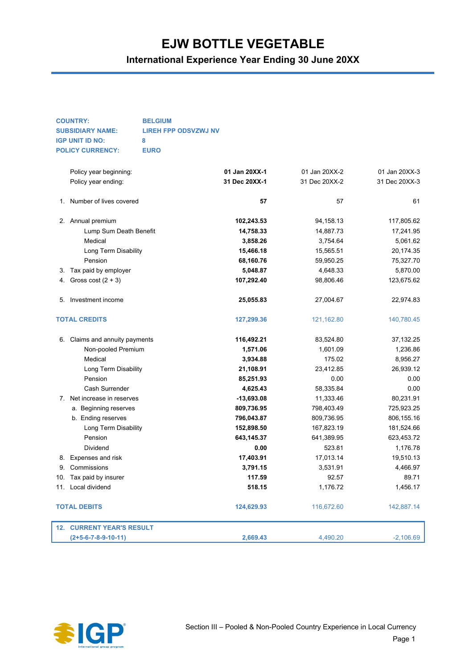|    | <b>COUNTRY:</b>                  | <b>BELGIUM</b>              |               |               |               |
|----|----------------------------------|-----------------------------|---------------|---------------|---------------|
|    | <b>SUBSIDIARY NAME:</b>          | <b>LIREH FPP ODSVZWJ NV</b> |               |               |               |
|    | <b>IGP UNIT ID NO:</b>           | 8                           |               |               |               |
|    | <b>POLICY CURRENCY:</b>          | <b>EURO</b>                 |               |               |               |
|    | Policy year beginning:           |                             | 01 Jan 20XX-1 | 01 Jan 20XX-2 | 01 Jan 20XX-3 |
|    | Policy year ending:              |                             | 31 Dec 20XX-1 | 31 Dec 20XX-2 | 31 Dec 20XX-3 |
|    |                                  |                             |               |               |               |
| 1. | Number of lives covered          |                             | 57            | 57            | 61            |
|    | 2. Annual premium                |                             | 102,243.53    | 94,158.13     | 117,805.62    |
|    | Lump Sum Death Benefit           |                             | 14,758.33     | 14,887.73     | 17,241.95     |
|    | Medical                          |                             | 3,858.26      | 3,754.64      | 5,061.62      |
|    | Long Term Disability             |                             | 15,466.18     | 15,565.51     | 20,174.35     |
|    | Pension                          |                             | 68,160.76     | 59,950.25     | 75,327.70     |
| 3. | Tax paid by employer             |                             | 5,048.87      | 4,648.33      | 5,870.00      |
| 4. | Gross cost $(2 + 3)$             |                             | 107,292.40    | 98,806.46     | 123,675.62    |
|    |                                  |                             |               |               |               |
| 5. | Investment income                |                             | 25,055.83     | 27,004.67     | 22,974.83     |
|    | <b>TOTAL CREDITS</b>             |                             | 127,299.36    | 121,162.80    | 140,780.45    |
|    | 6. Claims and annuity payments   |                             | 116,492.21    | 83,524.80     | 37, 132. 25   |
|    | Non-pooled Premium               |                             | 1,571.06      | 1,601.09      | 1,236.86      |
|    | Medical                          |                             | 3,934.88      | 175.02        | 8,956.27      |
|    | Long Term Disability             |                             | 21,108.91     | 23,412.85     | 26,939.12     |
|    | Pension                          |                             | 85,251.93     | 0.00          | 0.00          |
|    | Cash Surrender                   |                             | 4,625.43      | 58,335.84     | 0.00          |
|    | 7. Net increase in reserves      |                             | $-13,693.08$  | 11,333.46     | 80,231.91     |
|    | a. Beginning reserves            |                             | 809,736.95    | 798,403.49    | 725,923.25    |
|    | b. Ending reserves               |                             | 796,043.87    | 809,736.95    | 806,155.16    |
|    | Long Term Disability             |                             | 152,898.50    | 167,823.19    | 181,524.66    |
|    | Pension                          |                             | 643,145.37    | 641,389.95    | 623,453.72    |
|    | Dividend                         |                             | 0.00          | 523.81        | 1,176.78      |
| 8. | Expenses and risk                |                             | 17,403.91     | 17,013.14     | 19,510.13     |
|    | 9. Commissions                   |                             | 3,791.15      | 3,531.91      | 4,466.97      |
|    | 10. Tax paid by insurer          |                             | 117.59        | 92.57         | 89.71         |
|    | 11. Local dividend               |                             | 518.15        | 1,176.72      | 1,456.17      |
|    | <b>TOTAL DEBITS</b>              |                             | 124,629.93    | 116,672.60    | 142,887.14    |
|    | <b>12. CURRENT YEAR'S RESULT</b> |                             |               |               |               |
|    | $(2+5-6-7-8-9-10-11)$            |                             | 2,669.43      | 4,490.20      | $-2,106.69$   |

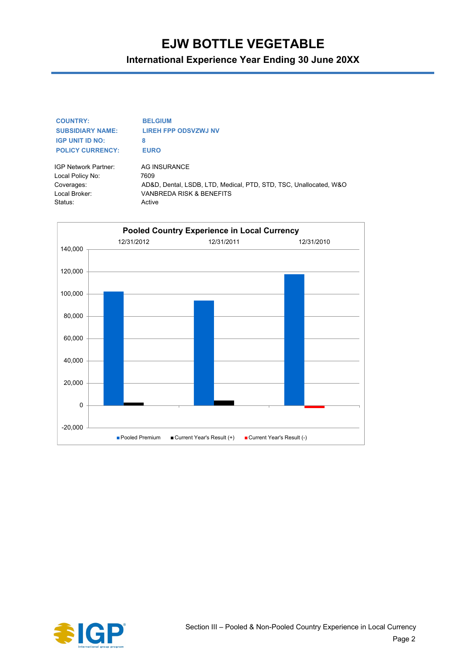**International Experience Year Ending 30 June 20XX**

| <b>COUNTRY:</b>             | <b>BELGIUM</b>                                                    |
|-----------------------------|-------------------------------------------------------------------|
| <b>SUBSIDIARY NAME:</b>     | <b>LIREH FPP ODSVZWJ NV</b>                                       |
| <b>IGP UNIT ID NO:</b>      | 8                                                                 |
| <b>POLICY CURRENCY:</b>     | <b>EURO</b>                                                       |
| <b>IGP Network Partner:</b> | AG INSURANCE                                                      |
| Local Policy No:            | 7609                                                              |
| Coverages:                  | AD&D, Dental, LSDB, LTD, Medical, PTD, STD, TSC, Unallocated, W&O |

Local Broker: VANBREDA RISK & BENEFITS



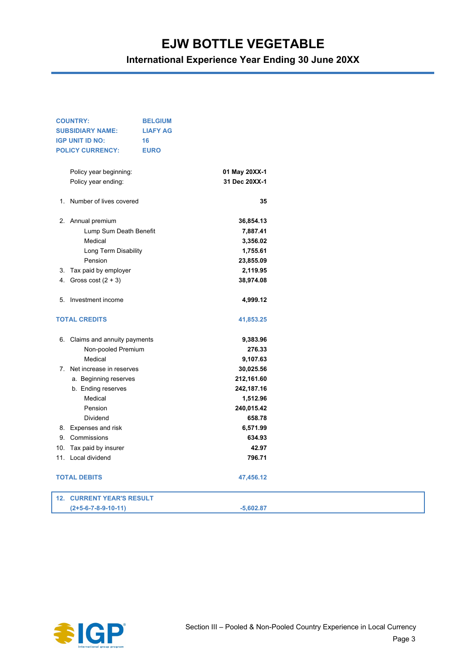| <b>COUNTRY:</b><br><b>SUBSIDIARY NAME:</b><br><b>IGP UNIT ID NO:</b> | <b>BELGIUM</b><br><b>LIAFY AG</b><br>16 |               |  |
|----------------------------------------------------------------------|-----------------------------------------|---------------|--|
| <b>POLICY CURRENCY:</b>                                              | <b>EURO</b>                             |               |  |
| Policy year beginning:                                               |                                         | 01 May 20XX-1 |  |
| Policy year ending:                                                  |                                         | 31 Dec 20XX-1 |  |
| 1. Number of lives covered                                           |                                         | 35            |  |
| 2. Annual premium                                                    |                                         | 36,854.13     |  |
| Lump Sum Death Benefit                                               |                                         | 7,887.41      |  |
| Medical                                                              |                                         | 3,356.02      |  |
| Long Term Disability                                                 |                                         | 1,755.61      |  |
| Pension                                                              |                                         | 23,855.09     |  |
| 3. Tax paid by employer                                              |                                         | 2,119.95      |  |
| 4. Gross cost $(2 + 3)$                                              |                                         | 38,974.08     |  |
| 5. Investment income                                                 |                                         | 4,999.12      |  |
| <b>TOTAL CREDITS</b>                                                 |                                         | 41,853.25     |  |
| 6. Claims and annuity payments                                       |                                         | 9,383.96      |  |
| Non-pooled Premium                                                   |                                         | 276.33        |  |
| Medical                                                              |                                         | 9,107.63      |  |
| 7. Net increase in reserves                                          |                                         | 30,025.56     |  |
| a. Beginning reserves                                                |                                         | 212,161.60    |  |
| b. Ending reserves                                                   |                                         | 242,187.16    |  |
| Medical                                                              |                                         | 1,512.96      |  |
| Pension                                                              |                                         | 240,015.42    |  |
| Dividend                                                             |                                         | 658.78        |  |
| 8. Expenses and risk                                                 |                                         | 6,571.99      |  |
| 9. Commissions                                                       |                                         | 634.93        |  |
| 10. Tax paid by insurer                                              |                                         | 42.97         |  |
| 11. Local dividend                                                   |                                         | 796.71        |  |
| <b>TOTAL DEBITS</b>                                                  |                                         | 47,456.12     |  |
| <b>12. CURRENT YEAR'S RESULT</b>                                     |                                         |               |  |
| $(2+5-6-7-8-9-10-11)$                                                |                                         | $-5,602.87$   |  |

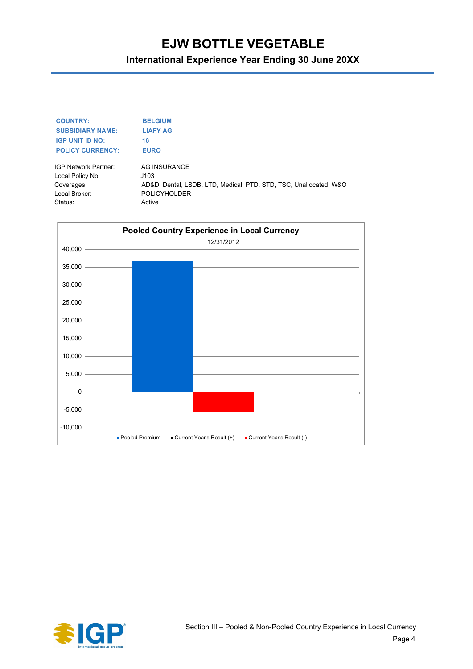| <b>COUNTRY:</b>         | <b>BELGIUM</b>                                                    |
|-------------------------|-------------------------------------------------------------------|
| <b>SUBSIDIARY NAME:</b> | <b>LIAFY AG</b>                                                   |
| <b>IGP UNIT ID NO:</b>  | 16                                                                |
| <b>POLICY CURRENCY:</b> | <b>EURO</b>                                                       |
| IGP Network Partner:    | AG INSURANCE                                                      |
| Local Policy No:        | J103                                                              |
| Coverages:              | AD&D, Dental, LSDB, LTD, Medical, PTD, STD, TSC, Unallocated, W&O |
| Local Broker:           | <b>POLICYHOLDER</b>                                               |
| Status:                 | Active                                                            |



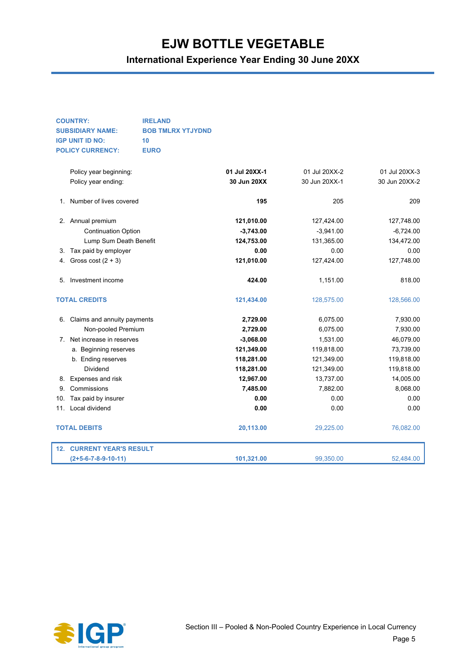**International Experience Year Ending 30 June 20XX**

#### **COUNTRY: IRELAND SUBSIDIARY NAME: BOB TMLRX YTJYDND IGP UNIT ID NO: 10 POLICY CURRENCY: EURO**

|     | Policy year beginning:       | 01 Jul 20XX-1 | 01 Jul 20XX-2 | 01 Jul 20XX-3 |
|-----|------------------------------|---------------|---------------|---------------|
|     | Policy year ending:          | 30 Jun 20XX   | 30 Jun 20XX-1 | 30 Jun 20XX-2 |
| 1.  | Number of lives covered      | 195           | 205           | 209           |
|     | 2. Annual premium            | 121,010.00    | 127,424.00    | 127,748.00    |
|     | <b>Continuation Option</b>   | $-3,743.00$   | $-3,941.00$   | $-6,724.00$   |
|     | Lump Sum Death Benefit       | 124,753.00    | 131,365.00    | 134,472.00    |
| 3.  | Tax paid by employer         | 0.00          | 0.00          | 0.00          |
| 4.  | Gross cost $(2 + 3)$         | 121,010.00    | 127,424.00    | 127,748.00    |
| 5.  | Investment income            | 424.00        | 1,151.00      | 818.00        |
|     | <b>TOTAL CREDITS</b>         | 121,434.00    | 128,575.00    | 128,566.00    |
| 6.  | Claims and annuity payments  | 2,729.00      | 6,075.00      | 7,930.00      |
|     | Non-pooled Premium           | 2,729.00      | 6,075.00      | 7,930.00      |
| 7.  | Net increase in reserves     | $-3,068.00$   | 1,531.00      | 46,079.00     |
|     | a. Beginning reserves        | 121,349.00    | 119,818.00    | 73,739.00     |
|     | b. Ending reserves           | 118,281.00    | 121,349.00    | 119,818.00    |
|     | Dividend                     | 118,281.00    | 121,349.00    | 119,818.00    |
| 8.  | Expenses and risk            | 12,967.00     | 13,737.00     | 14,005.00     |
| 9.  | Commissions                  | 7,485.00      | 7,882.00      | 8,068.00      |
| 10. | Tax paid by insurer          | 0.00          | 0.00          | 0.00          |
| 11. | Local dividend               | 0.00          | 0.00          | 0.00          |
|     | <b>TOTAL DEBITS</b>          | 20,113.00     | 29,225.00     | 76,082.00     |
| 12. | <b>CURRENT YEAR'S RESULT</b> |               |               |               |
|     | $(2+5-6-7-8-9-10-11)$        | 101,321.00    | 99,350.00     | 52,484.00     |

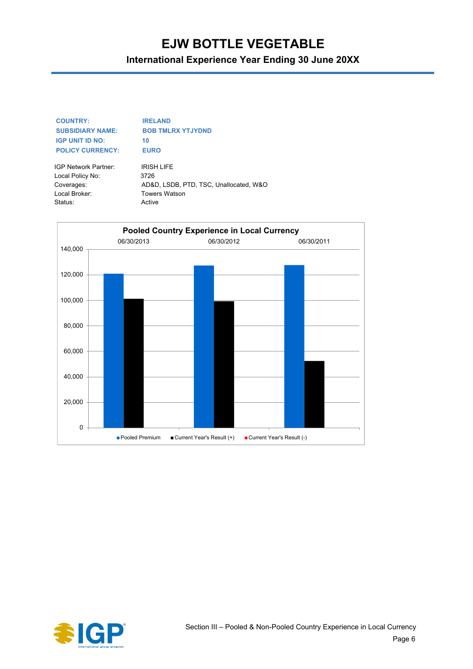### **International Experience Year Ending 30 June 20XX**

#### **COUNTRY: IRELAND SUBSIDIARY NAME: BOB TMLRX YTJYDND IGP UNIT ID NO:** 10 **POLICY CURRENCY: EURO**

IGP Network Partner: IRISH LIFE Local Policy No: 3726 Local Broker: Towers Watson Status: Active

Coverages: AD&D, LSDB, PTD, TSC, Unallocated, W&O



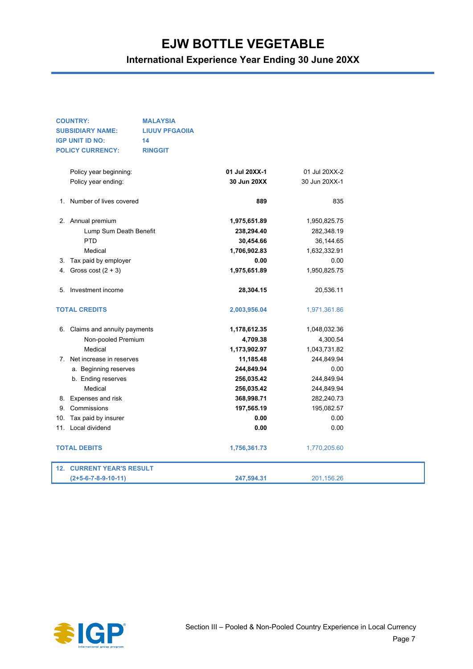| <b>COUNTRY:</b><br><b>MALAYSIA</b> |                                                  |                |               |               |  |
|------------------------------------|--------------------------------------------------|----------------|---------------|---------------|--|
|                                    | <b>SUBSIDIARY NAME:</b><br><b>LIUUV PFGAOIIA</b> |                |               |               |  |
|                                    | <b>IGP UNIT ID NO:</b><br>14                     |                |               |               |  |
|                                    | <b>POLICY CURRENCY:</b>                          | <b>RINGGIT</b> |               |               |  |
|                                    |                                                  |                |               |               |  |
|                                    | Policy year beginning:                           |                | 01 Jul 20XX-1 | 01 Jul 20XX-2 |  |
|                                    | Policy year ending:                              |                | 30 Jun 20XX   | 30 Jun 20XX-1 |  |
|                                    | 1. Number of lives covered                       |                | 889           | 835           |  |
|                                    | 2. Annual premium                                |                | 1,975,651.89  | 1,950,825.75  |  |
|                                    | Lump Sum Death Benefit                           |                | 238,294.40    | 282,348.19    |  |
|                                    | <b>PTD</b>                                       |                | 30,454.66     | 36,144.65     |  |
|                                    | Medical                                          |                | 1,706,902.83  | 1,632,332.91  |  |
|                                    | 3. Tax paid by employer                          |                | 0.00          | 0.00          |  |
|                                    | 4. Gross cost $(2 + 3)$                          |                | 1,975,651.89  | 1,950,825.75  |  |
|                                    |                                                  |                |               |               |  |
|                                    | 5. Investment income                             |                | 28,304.15     | 20,536.11     |  |
|                                    | <b>TOTAL CREDITS</b>                             |                | 2,003,956.04  | 1,971,361.86  |  |
|                                    | 6. Claims and annuity payments                   |                | 1,178,612.35  | 1,048,032.36  |  |
|                                    | Non-pooled Premium                               |                | 4,709.38      | 4,300.54      |  |
|                                    | Medical                                          |                | 1,173,902.97  | 1,043,731.82  |  |
| 7.                                 | Net increase in reserves                         |                | 11,185.48     | 244,849.94    |  |
|                                    | a. Beginning reserves                            |                | 244,849.94    | 0.00          |  |
|                                    | b. Ending reserves                               |                | 256,035.42    | 244,849.94    |  |
|                                    | Medical                                          |                | 256,035.42    | 244,849.94    |  |
|                                    | 8. Expenses and risk                             |                | 368,998.71    | 282,240.73    |  |
|                                    | 9. Commissions                                   |                | 197,565.19    | 195,082.57    |  |
|                                    | 10. Tax paid by insurer                          |                | 0.00          | 0.00          |  |
|                                    | 11. Local dividend                               |                | 0.00          | 0.00          |  |
|                                    | <b>TOTAL DEBITS</b>                              |                | 1,756,361.73  | 1,770,205.60  |  |
|                                    | <b>12. CURRENT YEAR'S RESULT</b>                 |                |               |               |  |
|                                    | (2+5-6-7-8-9-10-11)                              |                | 247,594.31    | 201,156.26    |  |

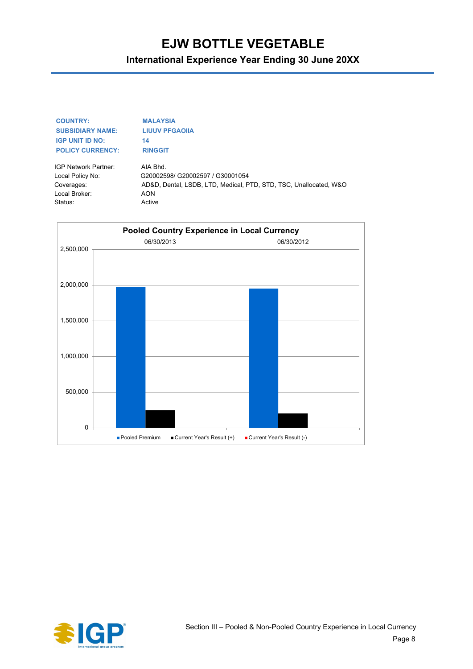**International Experience Year Ending 30 June 20XX**

#### **COUNTRY: MALAYSIA SUBSIDIARY NAME: LIUUV PFGAOIIA IGP UNIT ID NO:** 14 **POLICY CURRENCY: RINGGIT**

IGP Network Partner: AIA Bhd. Local Policy No: G20002598/ G20002597 / G30001054 Coverages: AD&D, Dental, LSDB, LTD, Medical, PTD, STD, TSC, Unallocated, W&O Local Broker: AON Status: Active



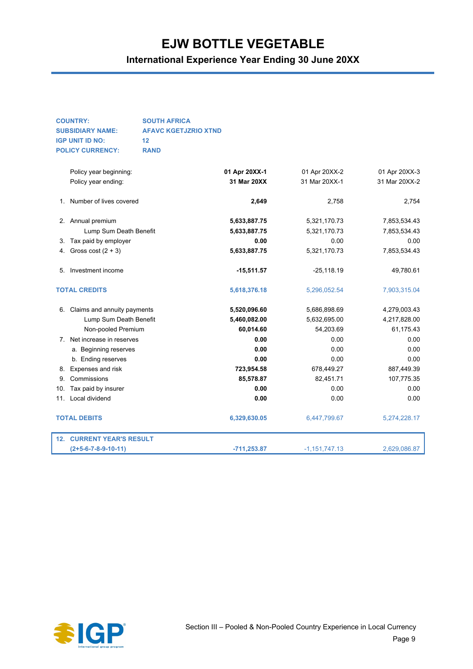| <b>COUNTRY:</b>         | <b>SOUTH AFRICA</b>         |
|-------------------------|-----------------------------|
| <b>SUBSIDIARY NAME:</b> | <b>AFAVC KGETJZRIO XTND</b> |
| <b>IGP UNIT ID NO:</b>  | 12                          |
| <b>POLICY CURRENCY:</b> | <b>RAND</b>                 |

|             | Policy year beginning:           | 01 Apr 20XX-1 | 01 Apr 20XX-2   | 01 Apr 20XX-3 |
|-------------|----------------------------------|---------------|-----------------|---------------|
|             | Policy year ending:              | 31 Mar 20XX   | 31 Mar 20XX-1   | 31 Mar 20XX-2 |
| 1.          | Number of lives covered          | 2,649         | 2,758           | 2.754         |
|             | 2. Annual premium                | 5,633,887.75  | 5,321,170.73    | 7,853,534.43  |
|             | Lump Sum Death Benefit           | 5,633,887.75  | 5,321,170.73    | 7,853,534.43  |
| З.          | Tax paid by employer             | 0.00          | 0.00            | 0.00          |
| 4.          | Gross cost $(2 + 3)$             | 5,633,887.75  | 5,321,170.73    | 7,853,534.43  |
| 5.          | Investment income                | $-15,511.57$  | $-25,118.19$    | 49,780.61     |
|             | <b>TOTAL CREDITS</b>             | 5,618,376.18  | 5,296,052.54    | 7,903,315.04  |
| 6.          | Claims and annuity payments      | 5,520,096.60  | 5,686,898.69    | 4,279,003.43  |
|             | Lump Sum Death Benefit           | 5,460,082.00  | 5,632,695.00    | 4,217,828.00  |
|             | Non-pooled Premium               | 60,014.60     | 54,203.69       | 61,175.43     |
| $7^{\circ}$ | Net increase in reserves         | 0.00          | 0.00            | 0.00          |
|             | a. Beginning reserves            | 0.00          | 0.00            | 0.00          |
|             | b. Ending reserves               | 0.00          | 0.00            | 0.00          |
| 8.          | Expenses and risk                | 723,954.58    | 678,449.27      | 887,449.39    |
| 9.          | Commissions                      | 85,578.87     | 82,451.71       | 107,775.35    |
| 10.         | Tax paid by insurer              | 0.00          | 0.00            | 0.00          |
| 11.         | Local dividend                   | 0.00          | 0.00            | 0.00          |
|             | <b>TOTAL DEBITS</b>              | 6,329,630.05  | 6,447,799.67    | 5,274,228.17  |
|             | <b>12. CURRENT YEAR'S RESULT</b> |               |                 |               |
|             | $(2+5-6-7-8-9-10-11)$            | $-711,253.87$ | $-1,151,747.13$ | 2,629,086.87  |

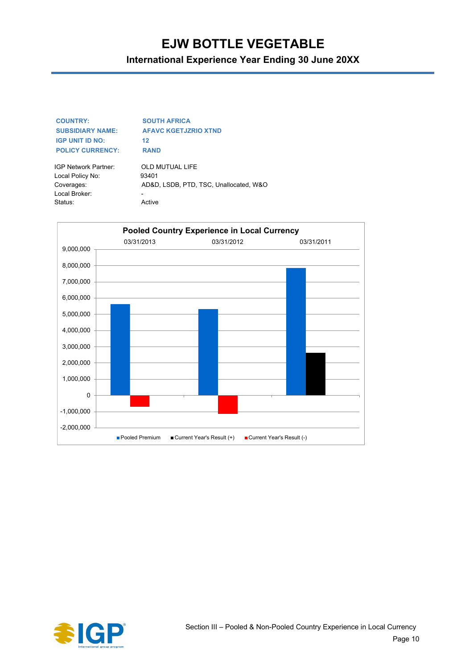### **International Experience Year Ending 30 June 20XX**

| <b>COUNTRY:</b>         | <b>SOUTH AFRICA</b>         |
|-------------------------|-----------------------------|
| <b>SUBSIDIARY NAME:</b> | <b>AFAVC KGETJZRIO XTND</b> |
| <b>IGP UNIT ID NO:</b>  | 12                          |
| <b>POLICY CURRENCY:</b> | <b>RAND</b>                 |
|                         |                             |

Local Policy No: 93401 Local Broker: Status: Active

IGP Network Partner: OLD MUTUAL LIFE Coverages: AD&D, LSDB, PTD, TSC, Unallocated, W&O



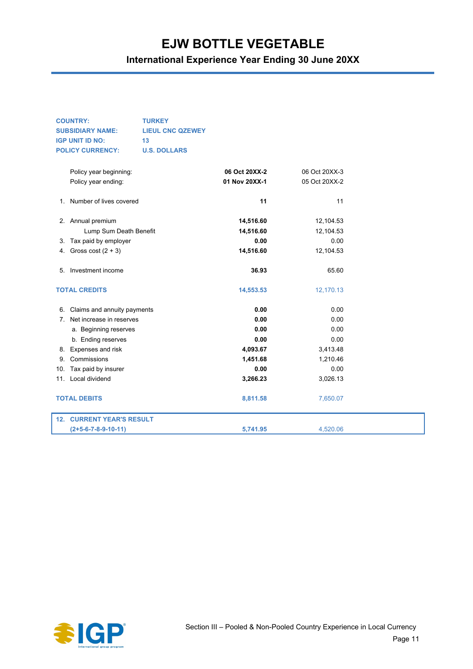| <b>COUNTRY:</b>                  | <b>TURKEY</b>           |               |               |  |
|----------------------------------|-------------------------|---------------|---------------|--|
| <b>SUBSIDIARY NAME:</b>          | <b>LIEUL CNC QZEWEY</b> |               |               |  |
| <b>IGP UNIT ID NO:</b>           | 13                      |               |               |  |
| <b>POLICY CURRENCY:</b>          | <b>U.S. DOLLARS</b>     |               |               |  |
|                                  |                         |               |               |  |
| Policy year beginning:           |                         | 06 Oct 20XX-2 | 06 Oct 20XX-3 |  |
| Policy year ending:              |                         | 01 Nov 20XX-1 | 05 Oct 20XX-2 |  |
|                                  |                         |               |               |  |
| 1. Number of lives covered       |                         | 11            | 11            |  |
|                                  |                         |               |               |  |
| 2. Annual premium                |                         | 14,516.60     | 12,104.53     |  |
| Lump Sum Death Benefit           |                         | 14,516.60     | 12,104.53     |  |
| 3. Tax paid by employer          |                         | 0.00          | 0.00          |  |
| 4. Gross cost $(2 + 3)$          |                         | 14,516.60     | 12,104.53     |  |
|                                  |                         |               |               |  |
| 5. Investment income             |                         | 36.93         | 65.60         |  |
| <b>TOTAL CREDITS</b>             |                         | 14,553.53     | 12,170.13     |  |
|                                  |                         |               |               |  |
| 6. Claims and annuity payments   |                         | 0.00          | 0.00          |  |
| 7. Net increase in reserves      |                         | 0.00          | 0.00          |  |
| a. Beginning reserves            |                         | 0.00          | 0.00          |  |
| b. Ending reserves               |                         | 0.00          | 0.00          |  |
| 8. Expenses and risk             |                         | 4,093.67      | 3,413.48      |  |
| 9. Commissions                   |                         | 1,451.68      | 1,210.46      |  |
| 10. Tax paid by insurer          |                         | 0.00          | 0.00          |  |
| 11. Local dividend               |                         | 3,266.23      | 3,026.13      |  |
|                                  |                         |               |               |  |
| <b>TOTAL DEBITS</b>              |                         | 8,811.58      | 7,650.07      |  |
| <b>12. CURRENT YEAR'S RESULT</b> |                         |               |               |  |
| (2+5-6-7-8-9-10-11)              |                         | 5.741.95      | 4,520.06      |  |

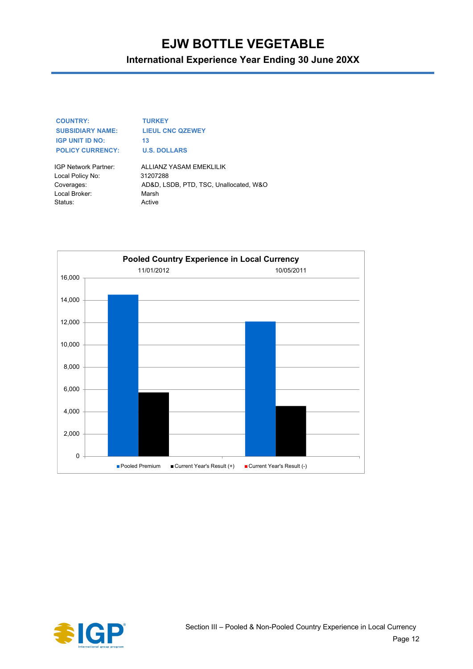**International Experience Year Ending 30 June 20XX**

| <b>COUNTRY:</b>         | тι |
|-------------------------|----|
| <b>SUBSIDIARY NAME:</b> | ш  |
| <b>IGP UNIT ID NO:</b>  | 13 |
| <b>POLICY CURRENCY:</b> | U. |

**COUNTRY: TURKEY LIEUL CNC QZEWEY U.S. DOLLARS** 

Local Policy No: 31207288 Local Broker: Marsh Status: Active

IGP Network Partner: ALLIANZ YASAM EMEKLILIK Coverages: AD&D, LSDB, PTD, TSC, Unallocated, W&O



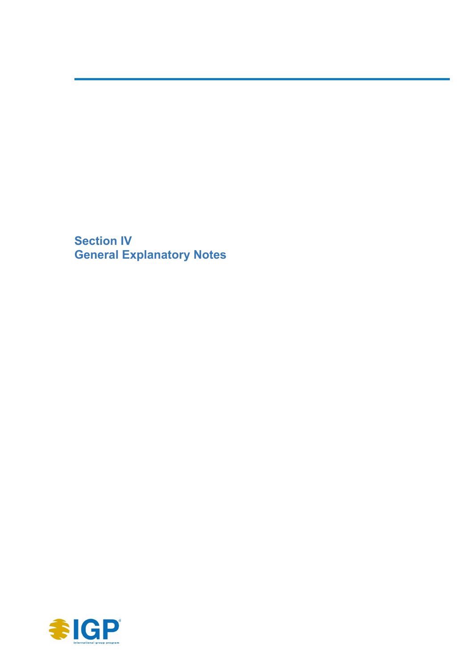**Section IV General Explanatory Notes**

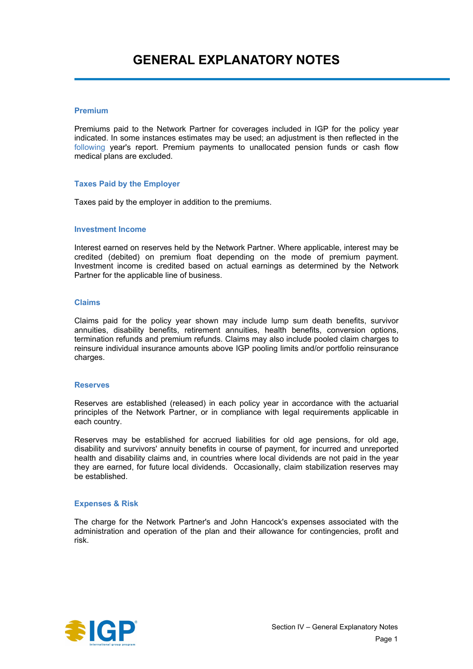#### **Premium**

Premiums paid to the Network Partner for coverages included in IGP for the policy year indicated. In some instances estimates may be used; an adjustment is then reflected in the following year's report. Premium payments to unallocated pension funds or cash flow medical plans are excluded.

#### **Taxes Paid by the Employer**

Taxes paid by the employer in addition to the premiums.

#### **Investment Income**

Interest earned on reserves held by the Network Partner. Where applicable, interest may be credited (debited) on premium float depending on the mode of premium payment. Investment income is credited based on actual earnings as determined by the Network Partner for the applicable line of business.

#### **Claims**

Claims paid for the policy year shown may include lump sum death benefits, survivor annuities, disability benefits, retirement annuities, health benefits, conversion options, termination refunds and premium refunds. Claims may also include pooled claim charges to reinsure individual insurance amounts above IGP pooling limits and/or portfolio reinsurance charges.

#### **Reserves**

Reserves are established (released) in each policy year in accordance with the actuarial principles of the Network Partner, or in compliance with legal requirements applicable in each country.

Reserves may be established for accrued liabilities for old age pensions, for old age, disability and survivors' annuity benefits in course of payment, for incurred and unreported health and disability claims and, in countries where local dividends are not paid in the year they are earned, for future local dividends. Occasionally, claim stabilization reserves may be established.

#### **Expenses & Risk**

The charge for the Network Partner's and John Hancock's expenses associated with the administration and operation of the plan and their allowance for contingencies, profit and risk.